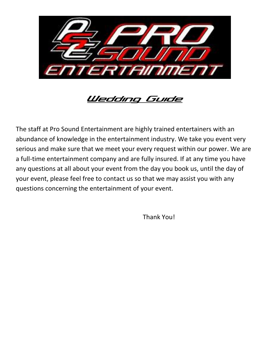

## Wedding Guide

The staff at Pro Sound Entertainment are highly trained entertainers with an abundance of knowledge in the entertainment industry. We take you event very serious and make sure that we meet your every request within our power. We are a full-time entertainment company and are fully insured. If at any time you have any questions at all about your event from the day you book us, until the day of your event, please feel free to contact us so that we may assist you with any questions concerning the entertainment of your event.

Thank You!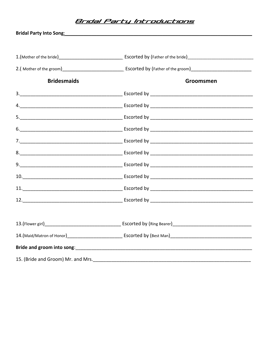## <u> Bridal Party Introductions</u>

|                    | Bridal Party Into Song: No. 2014 19:00 19:00 19:00 19:00 19:00 19:00 19:00 19:00 19:00 19:00 19:00 19:00 19:00 |
|--------------------|----------------------------------------------------------------------------------------------------------------|
|                    |                                                                                                                |
|                    |                                                                                                                |
|                    |                                                                                                                |
| <b>Bridesmaids</b> | Groomsmen                                                                                                      |
|                    |                                                                                                                |
|                    |                                                                                                                |
|                    |                                                                                                                |
|                    |                                                                                                                |
|                    |                                                                                                                |
|                    |                                                                                                                |
|                    |                                                                                                                |
|                    |                                                                                                                |
|                    |                                                                                                                |
|                    |                                                                                                                |
|                    |                                                                                                                |
|                    |                                                                                                                |
|                    |                                                                                                                |
|                    |                                                                                                                |